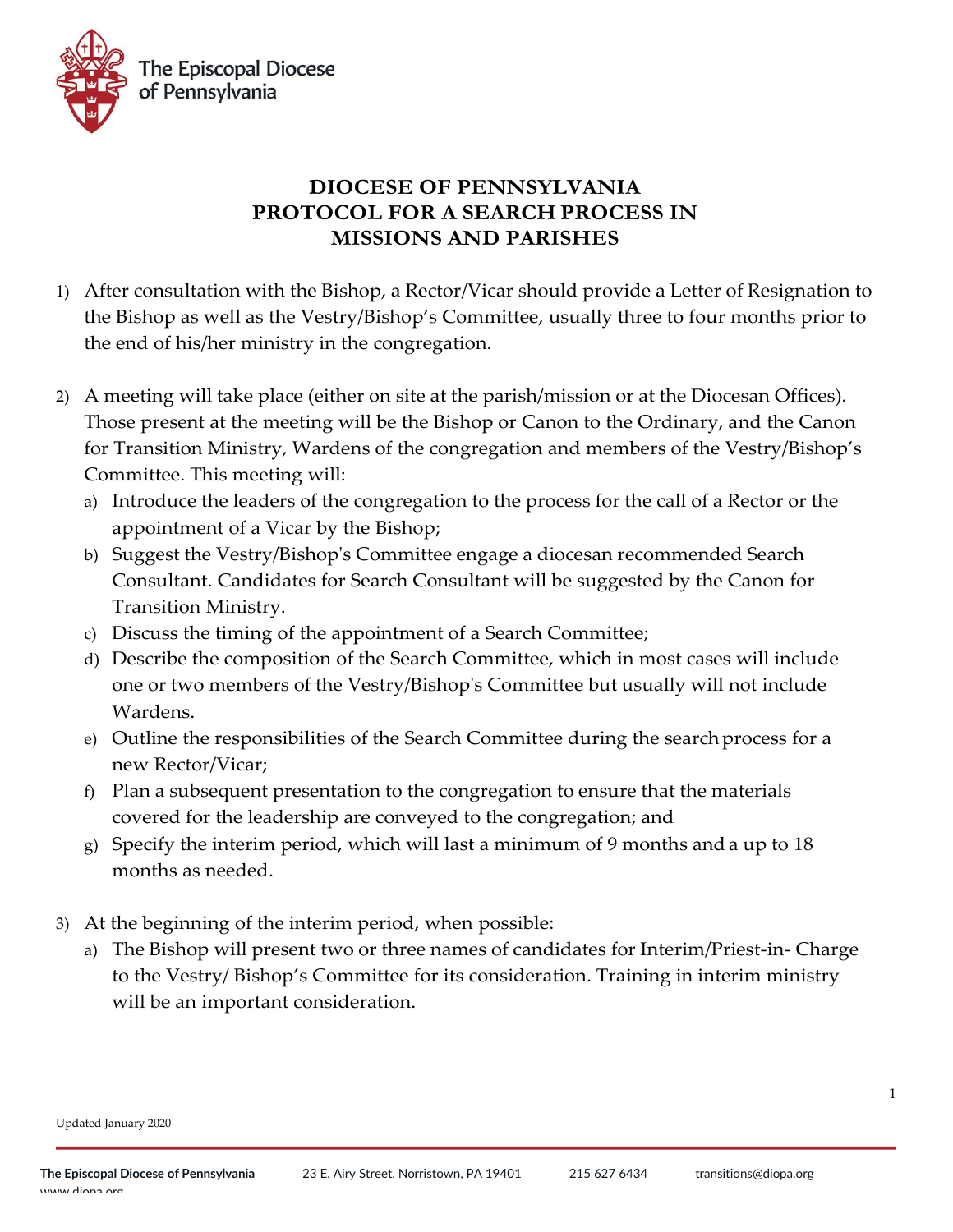

## **DIOCESE OF PENNSYLVANIA PROTOCOL FOR A SEARCH PROCESS IN MISSIONS AND PARISHES**

- 1) After consultation with the Bishop, a Rector/Vicar should provide a Letter of Resignation to the Bishop as well as the Vestry/Bishop's Committee, usually three to four months prior to the end of his/her ministry in the congregation.
- 2) A meeting will take place (either on site at the parish/mission or at the Diocesan Offices). Those present at the meeting will be the Bishop or Canon to the Ordinary, and the Canon for Transition Ministry, Wardens of the congregation and members of the Vestry/Bishop's Committee. This meeting will:
	- a) Introduce the leaders of the congregation to the process for the call of a Rector or the appointment of a Vicar by the Bishop;
	- b) Suggest the Vestry/Bishop's Committee engage a diocesan recommended Search Consultant. Candidates for Search Consultant will be suggested by the Canon for Transition Ministry.
	- c) Discuss the timing of the appointment of a Search Committee;
	- d) Describe the composition of the Search Committee, which in most cases will include one or two members of the Vestry/Bishop's Committee but usually will not include Wardens.
	- e) Outline the responsibilities of the Search Committee during the searchprocess for a new Rector/Vicar;
	- f) Plan a subsequent presentation to the congregation to ensure that the materials covered for the leadership are conveyed to the congregation; and
	- g) Specify the interim period, which will last a minimum of 9 months and a up to 18 months as needed.
- 3) At the beginning of the interim period, when possible:
	- a) The Bishop will present two or three names of candidates for Interim/Priest-in- Charge to the Vestry/ Bishop's Committee for its consideration. Training in interim ministry will be an important consideration.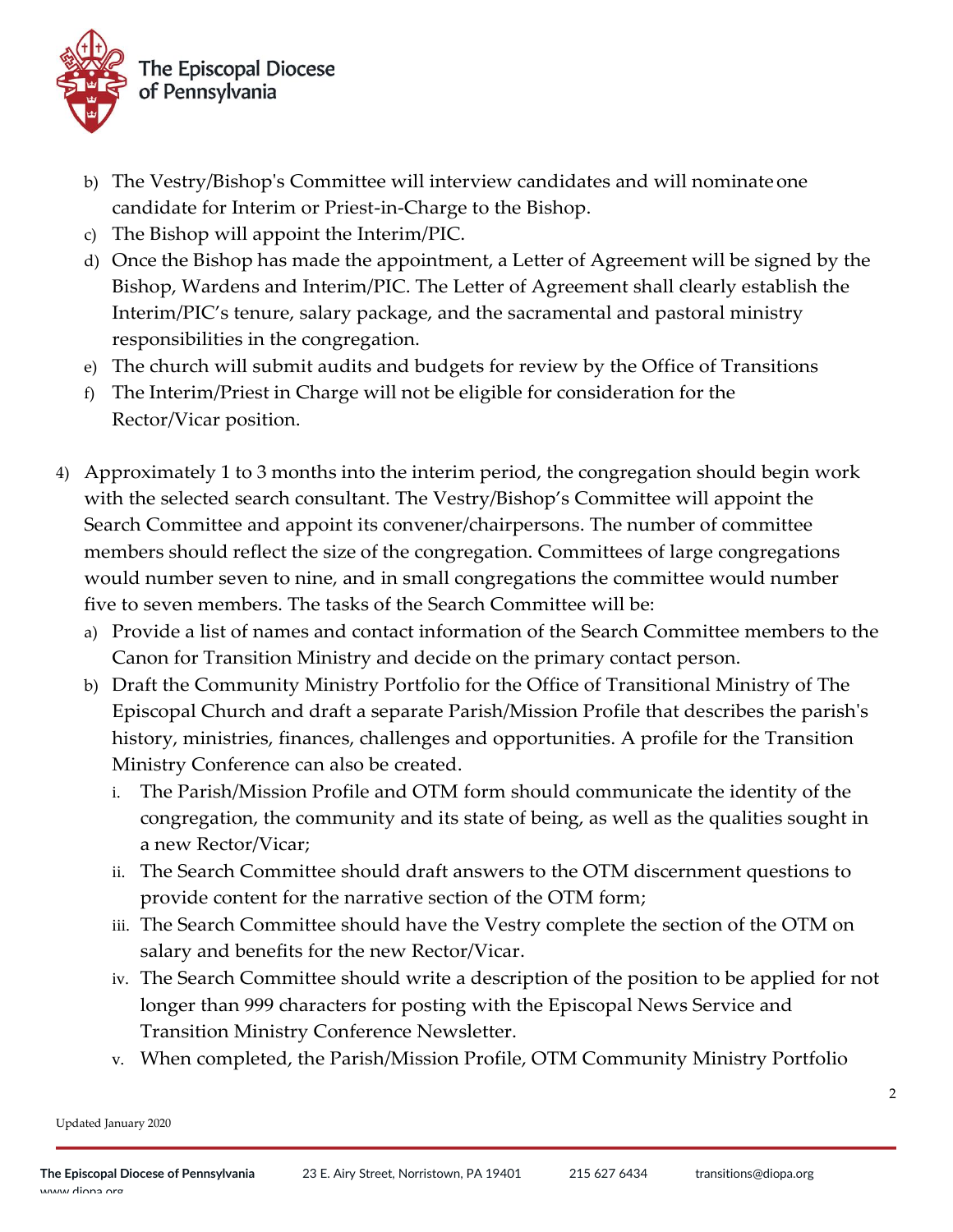

- b) The Vestry/Bishop's Committee will interview candidates and will nominateone candidate for Interim or Priest-in-Charge to the Bishop.
- c) The Bishop will appoint the Interim/PIC.
- d) Once the Bishop has made the appointment, a Letter of Agreement will be signed by the Bishop, Wardens and Interim/PIC. The Letter of Agreement shall clearly establish the Interim/PIC's tenure, salary package, and the sacramental and pastoral ministry responsibilities in the congregation.
- e) The church will submit audits and budgets for review by the Office of Transitions
- f) The Interim/Priest in Charge will not be eligible for consideration for the Rector/Vicar position.
- 4) Approximately 1 to 3 months into the interim period, the congregation should begin work with the selected search consultant. The Vestry/Bishop's Committee will appoint the Search Committee and appoint its convener/chairpersons. The number of committee members should reflect the size of the congregation. Committees of large congregations would number seven to nine, and in small congregations the committee would number five to seven members. The tasks of the Search Committee will be:
	- a) Provide a list of names and contact information of the Search Committee members to the Canon for Transition Ministry and decide on the primary contact person.
	- b) Draft the Community Ministry Portfolio for the Office of Transitional Ministry of The Episcopal Church and draft a separate Parish/Mission Profile that describes the parish's history, ministries, finances, challenges and opportunities. A profile for the Transition Ministry Conference can also be created.
		- i. The Parish/Mission Profile and OTM form should communicate the identity of the congregation, the community and its state of being, as well as the qualities sought in a new Rector/Vicar;
		- ii. The Search Committee should draft answers to the OTM discernment questions to provide content for the narrative section of the OTM form;
		- iii. The Search Committee should have the Vestry complete the section of the OTM on salary and benefits for the new Rector/Vicar.
		- iv. The Search Committee should write a description of the position to be applied for not longer than 999 characters for posting with the Episcopal News Service and Transition Ministry Conference Newsletter.
		- v. When completed, the Parish/Mission Profile, OTM Community Ministry Portfolio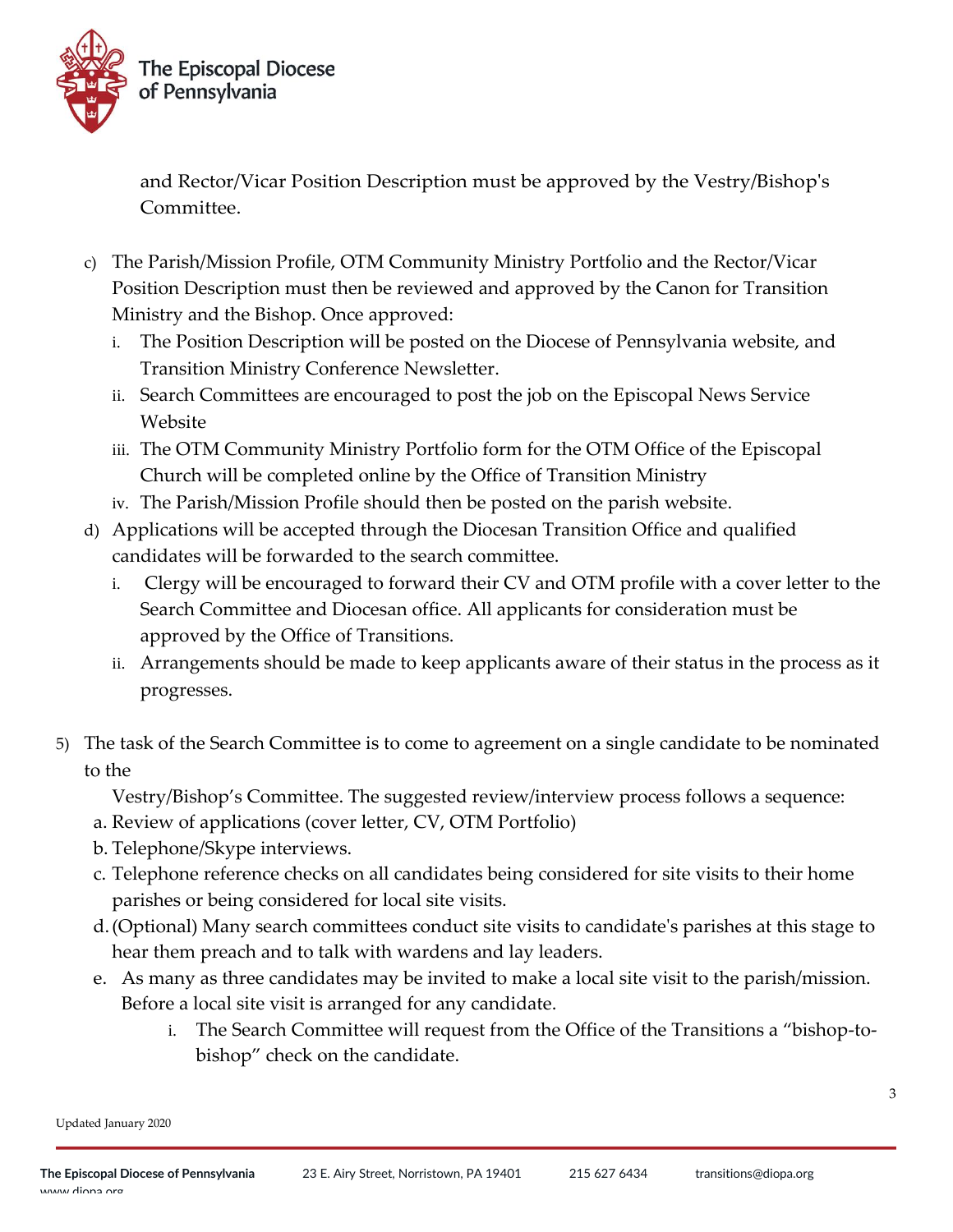

and Rector/Vicar Position Description must be approved by the Vestry/Bishop's Committee.

- c) The Parish/Mission Profile, OTM Community Ministry Portfolio and the Rector/Vicar Position Description must then be reviewed and approved by the Canon for Transition Ministry and the Bishop. Once approved:
	- i. The Position Description will be posted on the Diocese of Pennsylvania website, and Transition Ministry Conference Newsletter.
	- ii. Search Committees are encouraged to post the job on the Episcopal News Service Website
	- iii. The OTM Community Ministry Portfolio form for the OTM Office of the Episcopal Church will be completed online by the Office of Transition Ministry
	- iv. The Parish/Mission Profile should then be posted on the parish website.
- d) Applications will be accepted through the Diocesan Transition Office and qualified candidates will be forwarded to the search committee.
	- i. Clergy will be encouraged to forward their CV and OTM profile with a cover letter to the Search Committee and Diocesan office. All applicants for consideration must be approved by the Office of Transitions.
	- ii. Arrangements should be made to keep applicants aware of their status in the process as it progresses.
- 5) The task of the Search Committee is to come to agreement on a single candidate to be nominated to the

Vestry/Bishop's Committee. The suggested review/interview process follows a sequence:

- a. Review of applications (cover letter, CV, OTM Portfolio)
- b. Telephone/Skype interviews.
- c. Telephone reference checks on all candidates being considered for site visits to their home parishes or being considered for local site visits.
- d.(Optional) Many search committees conduct site visits to candidate's parishes at this stage to hear them preach and to talk with wardens and lay leaders.
- e. As many as three candidates may be invited to make a local site visit to the parish/mission. Before a local site visit is arranged for any candidate.
	- i. The Search Committee will request from the Office of the Transitions a "bishop-tobishop" check on the candidate.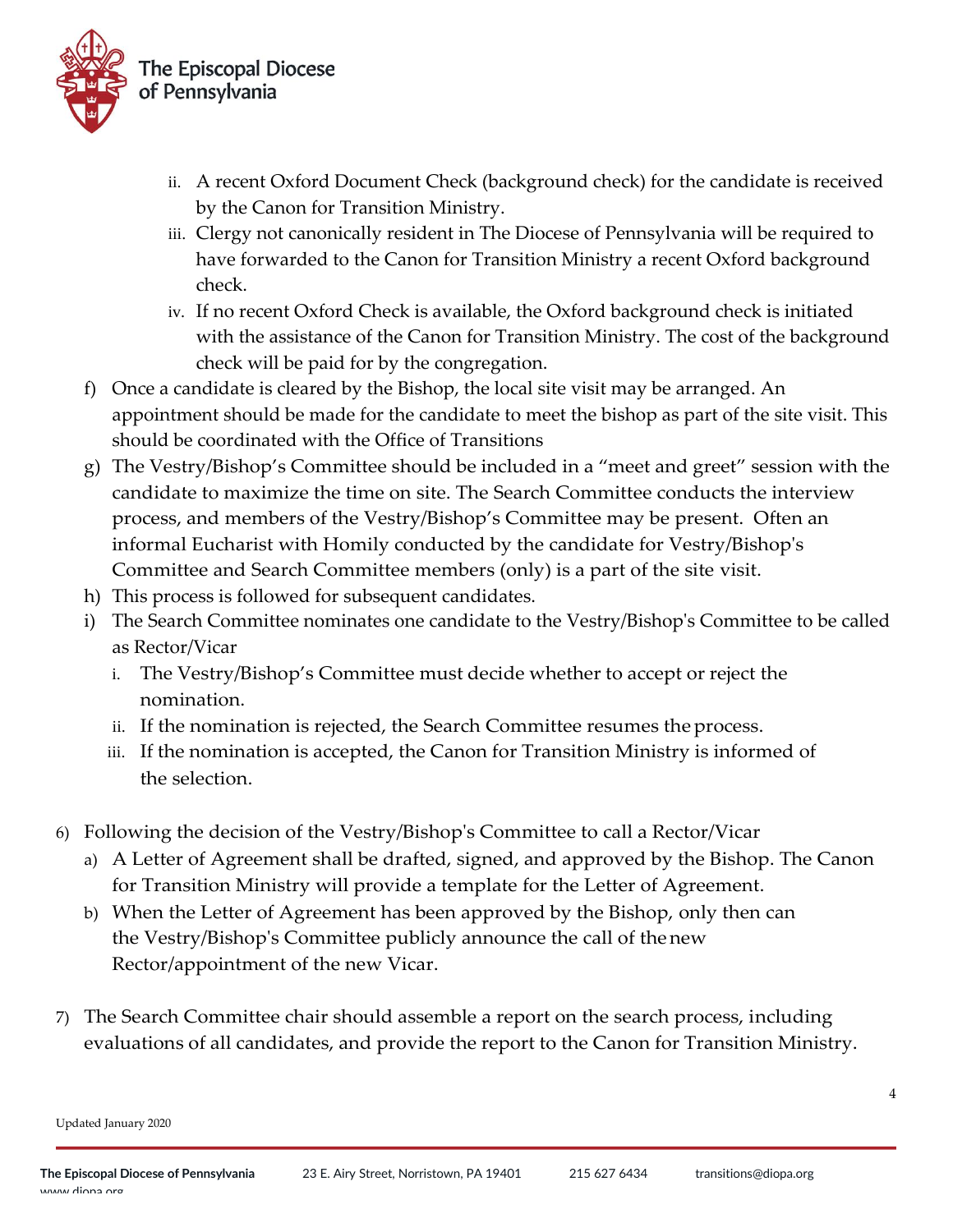

- ii. A recent Oxford Document Check (background check) for the candidate is received by the Canon for Transition Ministry.
- iii. Clergy not canonically resident in The Diocese of Pennsylvania will be required to have forwarded to the Canon for Transition Ministry a recent Oxford background check.
- iv. If no recent Oxford Check is available, the Oxford background check is initiated with the assistance of the Canon for Transition Ministry. The cost of the background check will be paid for by the congregation.
- f) Once a candidate is cleared by the Bishop, the local site visit may be arranged. An appointment should be made for the candidate to meet the bishop as part of the site visit. This should be coordinated with the Office of Transitions
- g) The Vestry/Bishop's Committee should be included in a "meet and greet" session with the candidate to maximize the time on site. The Search Committee conducts the interview process, and members of the Vestry/Bishop's Committee may be present. Often an informal Eucharist with Homily conducted by the candidate for Vestry/Bishop's Committee and Search Committee members (only) is a part of the site visit.
- h) This process is followed for subsequent candidates.
- i) The Search Committee nominates one candidate to the Vestry/Bishop's Committee to be called as Rector/Vicar
	- i. The Vestry/Bishop's Committee must decide whether to accept or reject the nomination.
	- ii. If the nomination is rejected, the Search Committee resumes theprocess.
	- iii. If the nomination is accepted, the Canon for Transition Ministry is informed of the selection.
- 6) Following the decision of the Vestry/Bishop's Committee to call a Rector/Vicar
	- a) A Letter of Agreement shall be drafted, signed, and approved by the Bishop. The Canon for Transition Ministry will provide a template for the Letter of Agreement.
	- b) When the Letter of Agreement has been approved by the Bishop, only then can the Vestry/Bishop's Committee publicly announce the call of thenew Rector/appointment of the new Vicar.
- 7) The Search Committee chair should assemble a report on the search process, including evaluations of all candidates, and provide the report to the Canon for Transition Ministry.